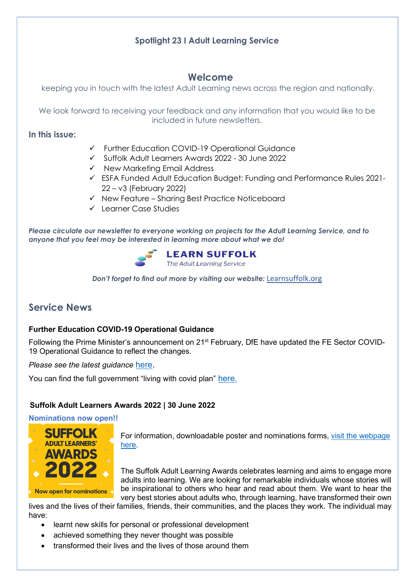## Spotlight 23 I Adult Learning Service

## Welcome

keeping you in touch with the latest Adult Learning news across the region and nationally.

We look forward to receiving your feedback and any information that you would like to be included in future newsletters.

## In this issue:

- Further Education COVID-19 Operational Guidance
- Suffolk Adult Learners Awards 2022 30 June 2022
- $\checkmark$  New Marketing Email Address
- ESFA Funded Adult Education Budget: Funding and Performance Rules 2021- 22 – v3 (February 2022)
- $\checkmark$  New Feature Sharing Best Practice Noticeboard
- Learner Case Studies

Please circulate our newsletter to everyone working on projects for the Adult Learning Service, and to anyone that you feel may be interested in learning more about what we do!



Don't forget to find out more by visiting our website: Learnsuffolk.org

# Service News

### Further Education COVID-19 Operational Guidance

Following the Prime Minister's announcement on 21<sup>st</sup> February, DfE have updated the FE Sector COVID-19 Operational Guidance to reflect the changes.

Please see the latest guidance here.

You can find the full government "living with covid plan" here.

### Suffolk Adult Learners Awards 2022 | 30 June 2022

Nominations now open!!



For information, downloadable poster and nominations forms, visit the webpage here.

The Suffolk Adult Learning Awards celebrates learning and aims to engage more adults into learning. We are looking for remarkable individuals whose stories will be inspirational to others who hear and read about them. We want to hear the very best stories about adults who, through learning, have transformed their own

lives and the lives of their families, friends, their communities, and the places they work. The individual may have:

- learnt new skills for personal or professional development
- achieved something they never thought was possible
- transformed their lives and the lives of those around them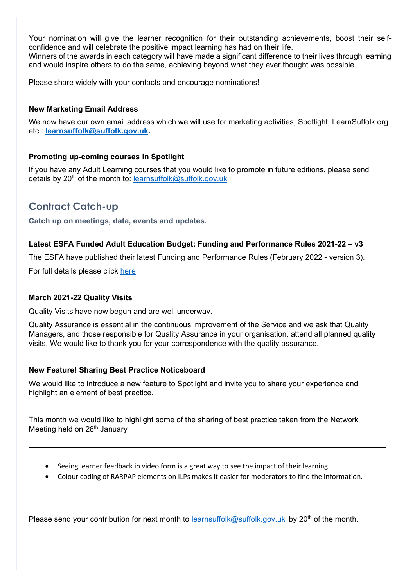Your nomination will give the learner recognition for their outstanding achievements, boost their selfconfidence and will celebrate the positive impact learning has had on their life. Winners of the awards in each category will have made a significant difference to their lives through learning and would inspire others to do the same, achieving beyond what they ever thought was possible.

Please share widely with your contacts and encourage nominations!

### New Marketing Email Address

We now have our own email address which we will use for marketing activities, Spotlight, LearnSuffolk.org etc : learnsuffolk@suffolk.gov.uk.

### Promoting up-coming courses in Spotlight

If you have any Adult Learning courses that you would like to promote in future editions, please send details by  $20<sup>th</sup>$  of the month to: learnsuffolk@suffolk.gov.uk

# Contract Catch-up

Catch up on meetings, data, events and updates.

### Latest ESFA Funded Adult Education Budget: Funding and Performance Rules 2021-22 – v3

The ESFA have published their latest Funding and Performance Rules (February 2022 - version 3).

For full details please click here

### March 2021-22 Quality Visits

Quality Visits have now begun and are well underway.

Quality Assurance is essential in the continuous improvement of the Service and we ask that Quality Managers, and those responsible for Quality Assurance in your organisation, attend all planned quality visits. We would like to thank you for your correspondence with the quality assurance.

### New Feature! Sharing Best Practice Noticeboard

We would like to introduce a new feature to Spotlight and invite you to share your experience and highlight an element of best practice.

This month we would like to highlight some of the sharing of best practice taken from the Network Meeting held on  $28<sup>th</sup>$  January

- Seeing learner feedback in video form is a great way to see the impact of their learning.
- Colour coding of RARPAP elements on ILPs makes it easier for moderators to find the information.

Please send your contribution for next month to learnsuffolk@suffolk.gov.uk by 20<sup>th</sup> of the month.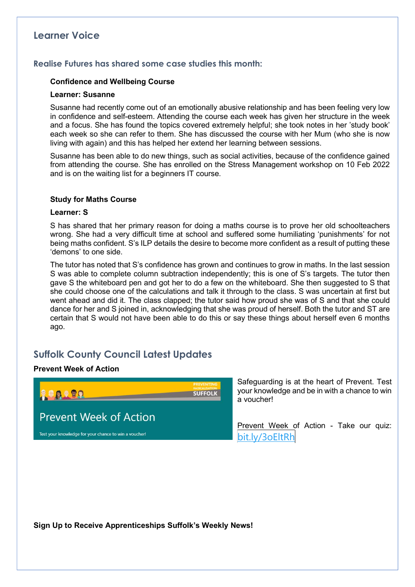## Learner Voice

### Realise Futures has shared some case studies this month:

#### Confidence and Wellbeing Course

#### Learner: Susanne

Susanne had recently come out of an emotionally abusive relationship and has been feeling very low in confidence and self-esteem. Attending the course each week has given her structure in the week and a focus. She has found the topics covered extremely helpful; she took notes in her 'study book' each week so she can refer to them. She has discussed the course with her Mum (who she is now living with again) and this has helped her extend her learning between sessions.

Susanne has been able to do new things, such as social activities, because of the confidence gained from attending the course. She has enrolled on the Stress Management workshop on 10 Feb 2022 and is on the waiting list for a beginners IT course.

#### Study for Maths Course

#### Learner: S

S has shared that her primary reason for doing a maths course is to prove her old schoolteachers wrong. She had a very difficult time at school and suffered some humiliating 'punishments' for not being maths confident. S's ILP details the desire to become more confident as a result of putting these 'demons' to one side.

The tutor has noted that S's confidence has grown and continues to grow in maths. In the last session S was able to complete column subtraction independently; this is one of S's targets. The tutor then gave S the whiteboard pen and got her to do a few on the whiteboard. She then suggested to S that she could choose one of the calculations and talk it through to the class. S was uncertain at first but went ahead and did it. The class clapped; the tutor said how proud she was of S and that she could dance for her and S joined in, acknowledging that she was proud of herself. Both the tutor and ST are certain that S would not have been able to do this or say these things about herself even 6 months ago.

# Suffolk County Council Latest Updates

#### Prevent Week of Action



Safeguarding is at the heart of Prevent. Test your knowledge and be in with a chance to win a voucher!

Prevent Week of Action - Take our quiz: bit.ly/3oEltRh

Sign Up to Receive Apprenticeships Suffolk's Weekly News!